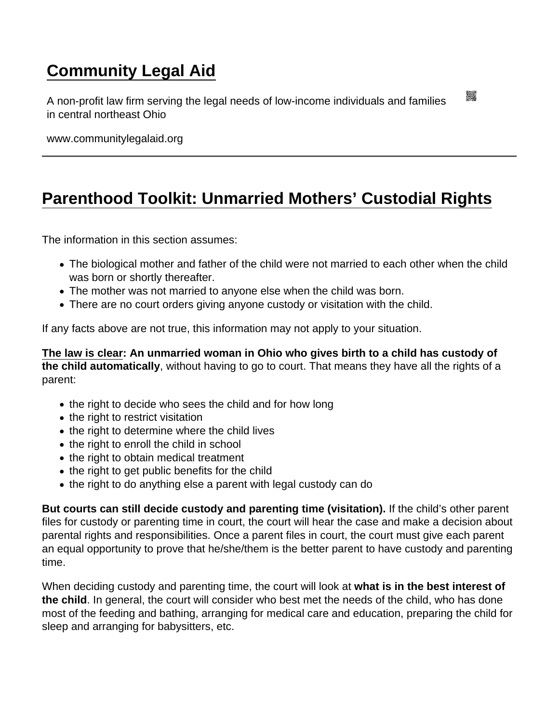## [Community Legal Aid](https://www.communitylegalaid.org/)

A non-profit law firm serving the legal needs of low-income individuals and families in central northeast Ohio

www.communitylegalaid.org

## [Parenthood Toolkit: Unmarried Mothers' Custodial Rights](https://www.communitylegalaid.org/parenthood/toolkit/mothers)

The information in this section assumes:

- The biological mother and father of the child were not married to each other when the child was born or shortly thereafter.
- The mother was not married to anyone else when the child was born.
- There are no court orders giving anyone custody or visitation with the child.

If any facts above are not true, this information may not apply to your situation.

[The law is clear](https://codes.ohio.gov/ohio-revised-code/section-3109.042) : An unmarried woman in Ohio who gives birth to a child has custody of the child automatically , without having to go to court. That means they have all the rights of a parent:

- the right to decide who sees the child and for how long
- the right to restrict visitation
- the right to determine where the child lives
- the right to enroll the child in school
- the right to obtain medical treatment
- the right to get public benefits for the child
- the right to do anything else a parent with legal custody can do

But courts can still decide custody and parenting time (visitation). If the child's other parent files for custody or parenting time in court, the court will hear the case and make a decision about parental rights and responsibilities. Once a parent files in court, the court must give each parent an equal opportunity to prove that he/she/them is the better parent to have custody and parenting time.

When deciding custody and parenting time, the court will look at what is in the best interest of the child . In general, the court will consider who best met the needs of the child, who has done most of the feeding and bathing, arranging for medical care and education, preparing the child for sleep and arranging for babysitters, etc.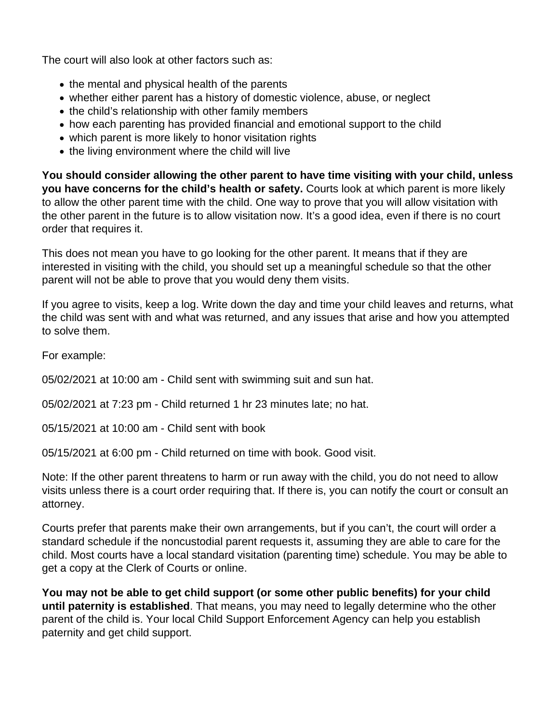The court will also look at other factors such as:

- $\bullet$  the mental and physical health of the parents
- whether either parent has a history of domestic violence, abuse, or neglect
- the child's relationship with other family members
- how each parenting has provided financial and emotional support to the child
- which parent is more likely to honor visitation rights
- the living environment where the child will live

**You should consider allowing the other parent to have time visiting with your child, unless you have concerns for the child's health or safety.** Courts look at which parent is more likely to allow the other parent time with the child. One way to prove that you will allow visitation with the other parent in the future is to allow visitation now. It's a good idea, even if there is no court order that requires it.

This does not mean you have to go looking for the other parent. It means that if they are interested in visiting with the child, you should set up a meaningful schedule so that the other parent will not be able to prove that you would deny them visits.

If you agree to visits, keep a log. Write down the day and time your child leaves and returns, what the child was sent with and what was returned, and any issues that arise and how you attempted to solve them.

For example:

05/02/2021 at 10:00 am - Child sent with swimming suit and sun hat.

05/02/2021 at 7:23 pm - Child returned 1 hr 23 minutes late; no hat.

05/15/2021 at 10:00 am - Child sent with book

05/15/2021 at 6:00 pm - Child returned on time with book. Good visit.

Note: If the other parent threatens to harm or run away with the child, you do not need to allow visits unless there is a court order requiring that. If there is, you can notify the court or consult an attorney.

Courts prefer that parents make their own arrangements, but if you can't, the court will order a standard schedule if the noncustodial parent requests it, assuming they are able to care for the child. Most courts have a local standard visitation (parenting time) schedule. You may be able to get a copy at the Clerk of Courts or online.

**You may not be able to get child support (or some other public benefits) for your child until paternity is established**. That means, you may need to legally determine who the other parent of the child is. Your local Child Support Enforcement Agency can help you establish paternity and get child support.